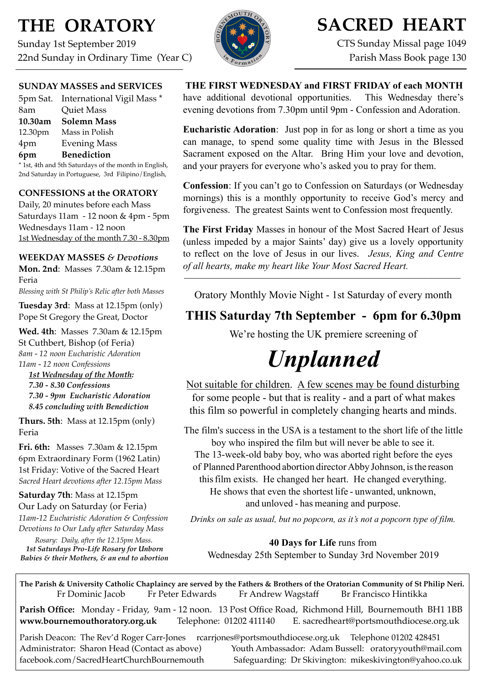# **THE ORATORY**

Sunday 1st September 2019 22nd Sunday in Ordinary Time (Year C)



# **SACRED HEART**

CTS Sunday Missal page 1049 Parish Mass Book page 130

#### **SUNDAY MASSES and SERVICES**

|         | 5pm Sat. International Vigil Mass * |
|---------|-------------------------------------|
| 8am     | <b>Quiet Mass</b>                   |
| 10.30am | <b>Solemn Mass</b>                  |
| 12.30pm | Mass in Polish                      |
| 4pm     | <b>Evening Mass</b>                 |
| 6pm     | <b>Benediction</b>                  |

\* 1st, 4th and 5th Saturdays of the month in English, 2nd Saturday in Portuguese, 3rd Filipino/English,

#### **CONFESSIONS at the ORATORY**

Daily, 20 minutes before each Mass Saturdays 11am - 12 noon & 4pm - 5pm Wednesdays 11am - 12 noon 1st Wednesday of the month 7.30 - 8.30pm

#### **WEEKDAY MASSES** *& Devotions*

**Mon. 2nd**: Masses 7.30am & 12.15pm Feria

*Blessing with St Philip's Relic after both Masses*

**Tuesday 3rd**: Mass at 12.15pm (only) Pope St Gregory the Great, Doctor

**Wed. 4th**: Masses7.30am & 12.15pm St Cuthbert, Bishop (of Feria) *8am - 12 noon Eucharistic Adoration 11am - 12 noon Confessions*

 *1st Wednesday of the Month: 7.30 - 8.30 Confessions 7.30 - 9pm Eucharistic Adoration 8.45 concluding with Benediction*

**Thurs. 5th**: Mass at 12.15pm (only) Feria

**Fri. 6th:** Masses 7.30am & 12.15pm 6pm Extraordinary Form (1962 Latin) 1st Friday: Votive of the Sacred Heart *Sacred Heart devotions after 12.15pm Mass*

**Saturday 7th**: Mass at 12.15pm Our Lady on Saturday (or Feria) *11am-12 Eucharistic Adoration & Confession*

*Devotions to Our Lady after Saturday Mass Rosary: Daily, after the 12.15pm Mass.*

*1st Saturdays Pro-Life Rosary for Unborn Babies & their Mothers, & an end to abortion*

**THE FIRST WEDNESDAY and FIRST FRIDAY of each MONTH**  have additional devotional opportunities. This Wednesday there's

evening devotions from 7.30pm until 9pm - Confession and Adoration.

**Eucharistic Adoration**: Just pop in for as long or short a time as you can manage, to spend some quality time with Jesus in the Blessed Sacrament exposed on the Altar. Bring Him your love and devotion, and your prayers for everyone who's asked you to pray for them.

**Confession**: If you can't go to Confession on Saturdays (or Wednesday mornings) this is a monthly opportunity to receive God's mercy and forgiveness. The greatest Saints went to Confession most frequently.

**The First Friday** Masses in honour of the Most Sacred Heart of Jesus (unless impeded by a major Saints' day) give us a lovely opportunity to reflect on the love of Jesus in our lives. *Jesus, King and Centre of all hearts, make my heart like Your Most Sacred Heart.*   $\mathcal{L}_\mathcal{L}$ 

Oratory Monthly Movie Night - 1st Saturday of every month

## **THIS Saturday 7th September - 6pm for 6.30pm**

We're hosting the UK premiere screening of

# *Unplanned*

Not suitable for children. A few scenes may be found disturbing for some people - but that is reality - and a part of what makes this film so powerful in completely changing hearts and minds.

The film's success in the USA is a testament to the short life of the little boy who inspired the film but will never be able to see it. The 13-week-old baby boy, who was aborted right before the eyes of Planned Parenthood abortion director Abby Johnson, is the reason thisfilm exists. He changed her heart. He changed everything. He shows that even the shortest life - unwanted, unknown, and unloved - has meaning and purpose.

*Drinks on sale as usual, but no popcorn, as it's not a popcorn type of film.* 

**40 Days for Life** runs from Wednesday 25th September to Sunday 3rd November 2019

**The Parish & University Catholic Chaplaincy are served by the Fathers & Brothers of the Oratorian Community of St Philip Neri.** Fr Dominic Jacob Fr Peter Edwards Fr Andrew Wagstaff Br Francisco Hintikka

**Parish Office:** Monday - Friday, 9am - 12 noon. 13 Post Office Road, Richmond Hill, Bournemouth BH1 1BB **[www.bournemouthoratory.org.uk](http://www.bournemoithoratory.org.uk)** Telephone: 01202 411140 E. [sacredheart@portsmouthdiocese.org.uk](mailto:sacredheart@portsmouthdiocese.org.uk)

Parish Deacon: The Rev'd Roger Carr-Jones [rcarrjones@portsmouthdiocese.org.uk](mailto:rcarrjones@portsmouthdiocese.org.uk) Telephone 01202 428451 Administrator: Sharon Head (Contact as above) Youth Ambassador: Adam Bussell: [oratoryyouth@mail.com](http://oratoryyouth.mail.com) [facebook.com/SacredHeartChurchBournemouth](http://facebook.com/SaccredHeartChurchBournemouth) Safeguarding: Dr Skivington: mikeskivington@yahoo.co.uk